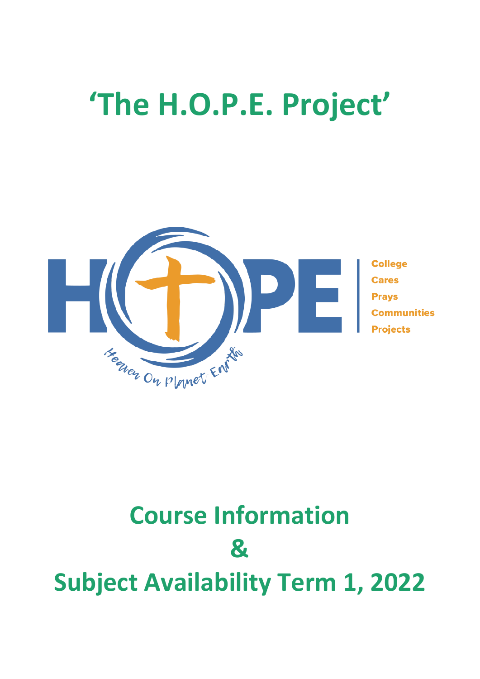# **'The H.O.P.E. Project'**



# **Course Information & Subject Availability Term 1, 2022**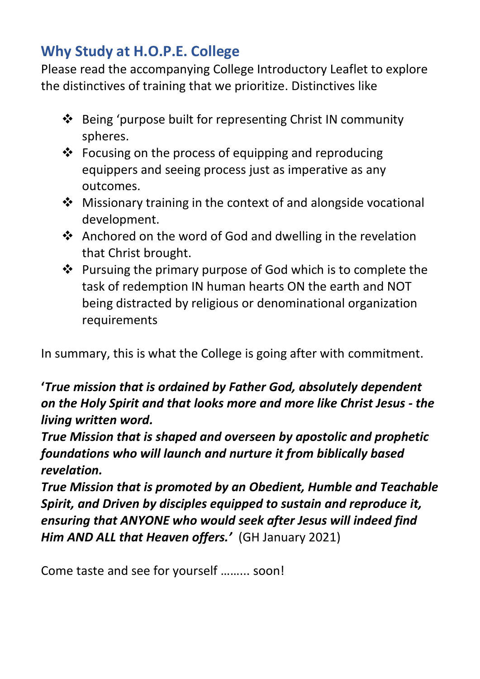# **Why Study at H.O.P.E. College**

Please read the accompanying College Introductory Leaflet to explore the distinctives of training that we prioritize. Distinctives like

- ❖ Being 'purpose built for representing Christ IN community spheres.
- ❖ Focusing on the process of equipping and reproducing equippers and seeing process just as imperative as any outcomes.
- ❖ Missionary training in the context of and alongside vocational development.
- ❖ Anchored on the word of God and dwelling in the revelation that Christ brought.
- ❖ Pursuing the primary purpose of God which is to complete the task of redemption IN human hearts ON the earth and NOT being distracted by religious or denominational organization requirements

In summary, this is what the College is going after with commitment.

# **'***True mission that is ordained by Father God, absolutely dependent on the Holy Spirit and that looks more and more like Christ Jesus - the living written word.*

*True Mission that is shaped and overseen by apostolic and prophetic foundations who will launch and nurture it from biblically based revelation.* 

*True Mission that is promoted by an Obedient, Humble and Teachable Spirit, and Driven by disciples equipped to sustain and reproduce it, ensuring that ANYONE who would seek after Jesus will indeed find Him AND ALL that Heaven offers.'* (GH January 2021)

Come taste and see for yourself ……... soon!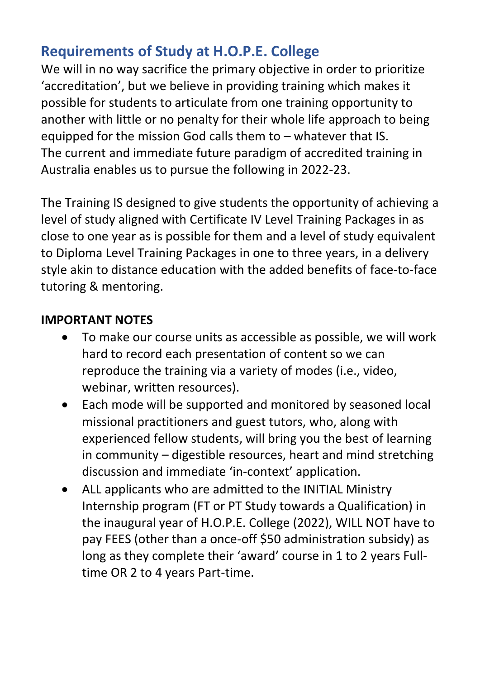# **Requirements of Study at H.O.P.E. College**

We will in no way sacrifice the primary objective in order to prioritize 'accreditation', but we believe in providing training which makes it possible for students to articulate from one training opportunity to another with little or no penalty for their whole life approach to being equipped for the mission God calls them to – whatever that IS. The current and immediate future paradigm of accredited training in Australia enables us to pursue the following in 2022-23.

The Training IS designed to give students the opportunity of achieving a level of study aligned with Certificate IV Level Training Packages in as close to one year as is possible for them and a level of study equivalent to Diploma Level Training Packages in one to three years, in a delivery style akin to distance education with the added benefits of face-to-face tutoring & mentoring.

# **IMPORTANT NOTES**

- To make our course units as accessible as possible, we will work hard to record each presentation of content so we can reproduce the training via a variety of modes (i.e., video, webinar, written resources).
- Each mode will be supported and monitored by seasoned local missional practitioners and guest tutors, who, along with experienced fellow students, will bring you the best of learning in community – digestible resources, heart and mind stretching discussion and immediate 'in-context' application.
- ALL applicants who are admitted to the INITIAL Ministry Internship program (FT or PT Study towards a Qualification) in the inaugural year of H.O.P.E. College (2022), WILL NOT have to pay FEES (other than a once-off \$50 administration subsidy) as long as they complete their 'award' course in 1 to 2 years Fulltime OR 2 to 4 years Part-time.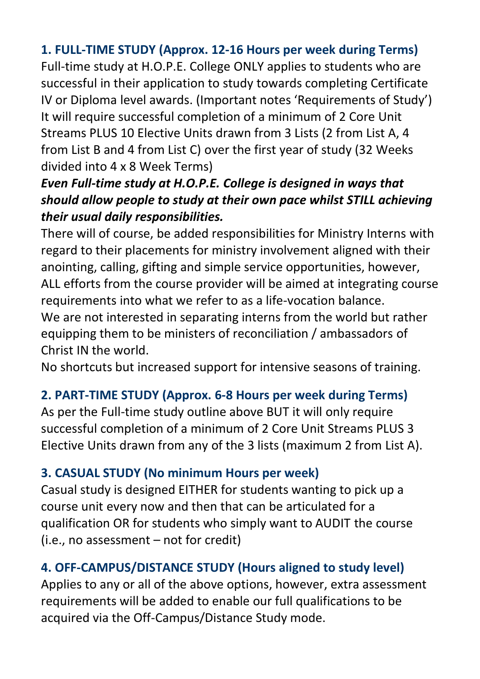# **1. FULL-TIME STUDY (Approx. 12-16 Hours per week during Terms)**

Full-time study at H.O.P.E. College ONLY applies to students who are successful in their application to study towards completing Certificate IV or Diploma level awards. (Important notes 'Requirements of Study') It will require successful completion of a minimum of 2 Core Unit Streams PLUS 10 Elective Units drawn from 3 Lists (2 from List A, 4 from List B and 4 from List C) over the first year of study (32 Weeks divided into 4 x 8 Week Terms)

# *Even Full-time study at H.O.P.E. College is designed in ways that should allow people to study at their own pace whilst STILL achieving their usual daily responsibilities.*

There will of course, be added responsibilities for Ministry Interns with regard to their placements for ministry involvement aligned with their anointing, calling, gifting and simple service opportunities, however, ALL efforts from the course provider will be aimed at integrating course requirements into what we refer to as a life-vocation balance. We are not interested in separating interns from the world but rather equipping them to be ministers of reconciliation / ambassadors of Christ IN the world.

No shortcuts but increased support for intensive seasons of training.

# **2. PART-TIME STUDY (Approx. 6-8 Hours per week during Terms)**

As per the Full-time study outline above BUT it will only require successful completion of a minimum of 2 Core Unit Streams PLUS 3 Elective Units drawn from any of the 3 lists (maximum 2 from List A).

# **3. CASUAL STUDY (No minimum Hours per week)**

Casual study is designed EITHER for students wanting to pick up a course unit every now and then that can be articulated for a qualification OR for students who simply want to AUDIT the course (i.e., no assessment – not for credit)

# **4. OFF-CAMPUS/DISTANCE STUDY (Hours aligned to study level)**

Applies to any or all of the above options, however, extra assessment requirements will be added to enable our full qualifications to be acquired via the Off-Campus/Distance Study mode.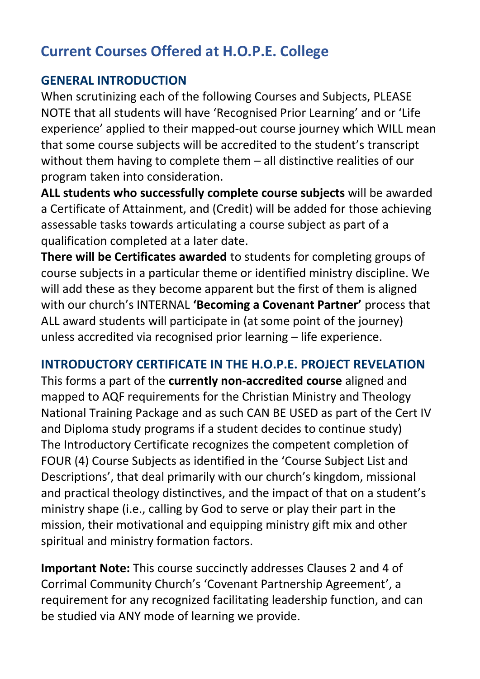# **Current Courses Offered at H.O.P.E. College**

#### **GENERAL INTRODUCTION**

When scrutinizing each of the following Courses and Subjects, PLEASE NOTE that all students will have 'Recognised Prior Learning' and or 'Life experience' applied to their mapped-out course journey which WILL mean that some course subjects will be accredited to the student's transcript without them having to complete them – all distinctive realities of our program taken into consideration.

**ALL students who successfully complete course subjects** will be awarded a Certificate of Attainment, and (Credit) will be added for those achieving assessable tasks towards articulating a course subject as part of a qualification completed at a later date.

**There will be Certificates awarded** to students for completing groups of course subjects in a particular theme or identified ministry discipline. We will add these as they become apparent but the first of them is aligned with our church's INTERNAL **'Becoming a Covenant Partner'** process that ALL award students will participate in (at some point of the journey) unless accredited via recognised prior learning – life experience.

# **INTRODUCTORY CERTIFICATE IN THE H.O.P.E. PROJECT REVELATION**

This forms a part of the **currently non-accredited course** aligned and mapped to AQF requirements for the Christian Ministry and Theology National Training Package and as such CAN BE USED as part of the Cert IV and Diploma study programs if a student decides to continue study) The Introductory Certificate recognizes the competent completion of FOUR (4) Course Subjects as identified in the 'Course Subject List and Descriptions', that deal primarily with our church's kingdom, missional and practical theology distinctives, and the impact of that on a student's ministry shape (i.e., calling by God to serve or play their part in the mission, their motivational and equipping ministry gift mix and other spiritual and ministry formation factors.

**Important Note:** This course succinctly addresses Clauses 2 and 4 of Corrimal Community Church's 'Covenant Partnership Agreement', a requirement for any recognized facilitating leadership function, and can be studied via ANY mode of learning we provide.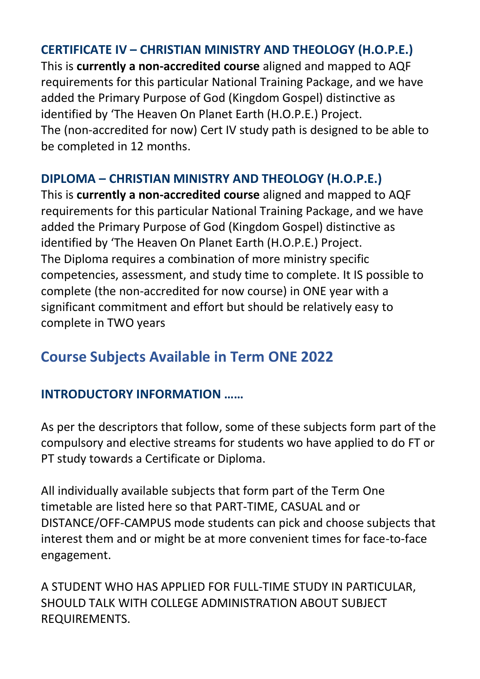#### **CERTIFICATE IV – CHRISTIAN MINISTRY AND THEOLOGY (H.O.P.E.)**

This is **currently a non-accredited course** aligned and mapped to AQF requirements for this particular National Training Package, and we have added the Primary Purpose of God (Kingdom Gospel) distinctive as identified by 'The Heaven On Planet Earth (H.O.P.E.) Project. The (non-accredited for now) Cert IV study path is designed to be able to be completed in 12 months.

# **DIPLOMA – CHRISTIAN MINISTRY AND THEOLOGY (H.O.P.E.)**

This is **currently a non-accredited course** aligned and mapped to AQF requirements for this particular National Training Package, and we have added the Primary Purpose of God (Kingdom Gospel) distinctive as identified by 'The Heaven On Planet Earth (H.O.P.E.) Project. The Diploma requires a combination of more ministry specific competencies, assessment, and study time to complete. It IS possible to complete (the non-accredited for now course) in ONE year with a significant commitment and effort but should be relatively easy to complete in TWO years

# **Course Subjects Available in Term ONE 2022**

#### **INTRODUCTORY INFORMATION ……**

As per the descriptors that follow, some of these subjects form part of the compulsory and elective streams for students wo have applied to do FT or PT study towards a Certificate or Diploma.

All individually available subjects that form part of the Term One timetable are listed here so that PART-TIME, CASUAL and or DISTANCE/OFF-CAMPUS mode students can pick and choose subjects that interest them and or might be at more convenient times for face-to-face engagement.

A STUDENT WHO HAS APPLIED FOR FULL-TIME STUDY IN PARTICULAR, SHOULD TALK WITH COLLEGE ADMINISTRATION ABOUT SUBJECT REQUIREMENTS.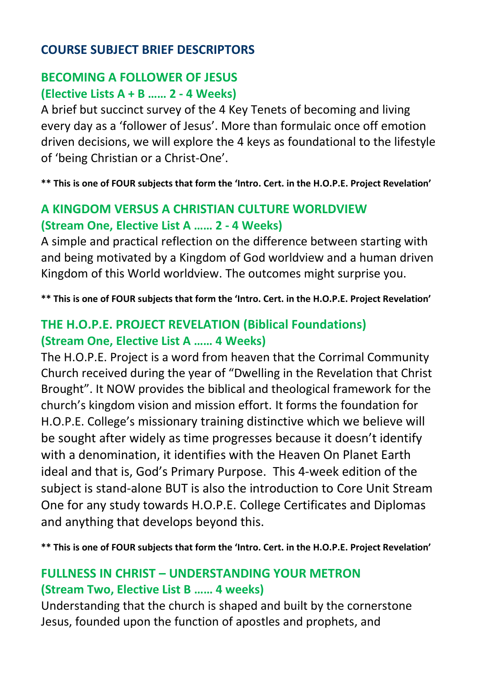#### **COURSE SUBJECT BRIEF DESCRIPTORS**

#### **BECOMING A FOLLOWER OF JESUS (Elective Lists A + B …… 2 - 4 Weeks)**

A brief but succinct survey of the 4 Key Tenets of becoming and living every day as a 'follower of Jesus'. More than formulaic once off emotion driven decisions, we will explore the 4 keys as foundational to the lifestyle of 'being Christian or a Christ-One'.

**\*\* This is one of FOUR subjects that form the 'Intro. Cert. in the H.O.P.E. Project Revelation'**

# **A KINGDOM VERSUS A CHRISTIAN CULTURE WORLDVIEW (Stream One, Elective List A …… 2 - 4 Weeks)**

A simple and practical reflection on the difference between starting with and being motivated by a Kingdom of God worldview and a human driven Kingdom of this World worldview. The outcomes might surprise you.

**\*\* This is one of FOUR subjects that form the 'Intro. Cert. in the H.O.P.E. Project Revelation'**

### **THE H.O.P.E. PROJECT REVELATION (Biblical Foundations) (Stream One, Elective List A …… 4 Weeks)**

The H.O.P.E. Project is a word from heaven that the Corrimal Community Church received during the year of "Dwelling in the Revelation that Christ Brought". It NOW provides the biblical and theological framework for the church's kingdom vision and mission effort. It forms the foundation for H.O.P.E. College's missionary training distinctive which we believe will be sought after widely as time progresses because it doesn't identify with a denomination, it identifies with the Heaven On Planet Earth ideal and that is, God's Primary Purpose. This 4-week edition of the subject is stand-alone BUT is also the introduction to Core Unit Stream One for any study towards H.O.P.E. College Certificates and Diplomas and anything that develops beyond this.

**\*\* This is one of FOUR subjects that form the 'Intro. Cert. in the H.O.P.E. Project Revelation'**

#### **FULLNESS IN CHRIST – UNDERSTANDING YOUR METRON (Stream Two, Elective List B …… 4 weeks)**

Understanding that the church is shaped and built by the cornerstone Jesus, founded upon the function of apostles and prophets, and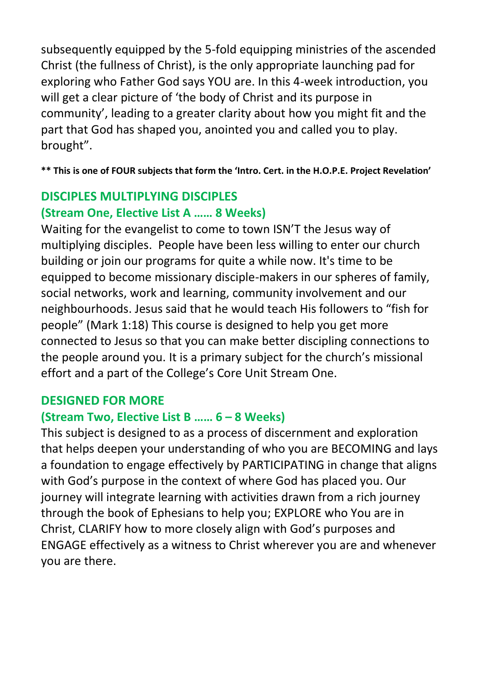subsequently equipped by the 5-fold equipping ministries of the ascended Christ (the fullness of Christ), is the only appropriate launching pad for exploring who Father God says YOU are. In this 4-week introduction, you will get a clear picture of 'the body of Christ and its purpose in community', leading to a greater clarity about how you might fit and the part that God has shaped you, anointed you and called you to play. brought".

**\*\* This is one of FOUR subjects that form the 'Intro. Cert. in the H.O.P.E. Project Revelation'**

# **DISCIPLES MULTIPLYING DISCIPLES (Stream One, Elective List A …… 8 Weeks)**

Waiting for the evangelist to come to town ISN'T the Jesus way of multiplying disciples. People have been less willing to enter our church building or join our programs for quite a while now. It's time to be equipped to become missionary disciple-makers in our spheres of family, social networks, work and learning, community involvement and our neighbourhoods. Jesus said that he would teach His followers to "fish for people" (Mark 1:18) This course is designed to help you get more connected to Jesus so that you can make better discipling connections to the people around you. It is a primary subject for the church's missional effort and a part of the College's Core Unit Stream One.

# **DESIGNED FOR MORE**

# **(Stream Two, Elective List B …… 6 – 8 Weeks)**

This subject is designed to as a process of discernment and exploration that helps deepen your understanding of who you are BECOMING and lays a foundation to engage effectively by PARTICIPATING in change that aligns with God's purpose in the context of where God has placed you. Our journey will integrate learning with activities drawn from a rich journey through the book of Ephesians to help you; EXPLORE who You are in Christ, CLARIFY how to more closely align with God's purposes and ENGAGE effectively as a witness to Christ wherever you are and whenever you are there.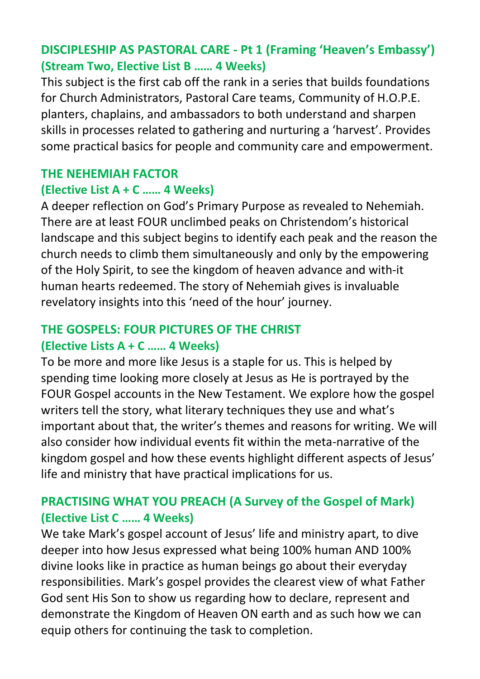### **DISCIPLESHIP AS PASTORAL CARE - Pt 1 (Framing 'Heaven's Embassy') (Stream Two, Elective List B …… 4 Weeks)**

This subject is the first cab off the rank in a series that builds foundations for Church Administrators, Pastoral Care teams, Community of H.O.P.E. planters, chaplains, and ambassadors to both understand and sharpen skills in processes related to gathering and nurturing a 'harvest'. Provides some practical basics for people and community care and empowerment.

#### **THE NEHEMIAH FACTOR**

#### **(Elective List A + C …… 4 Weeks)**

A deeper reflection on God's Primary Purpose as revealed to Nehemiah. There are at least FOUR unclimbed peaks on Christendom's historical landscape and this subject begins to identify each peak and the reason the church needs to climb them simultaneously and only by the empowering of the Holy Spirit, to see the kingdom of heaven advance and with-it human hearts redeemed. The story of Nehemiah gives is invaluable revelatory insights into this 'need of the hour' journey.

#### **THE GOSPELS: FOUR PICTURES OF THE CHRIST (Elective Lists A + C …… 4 Weeks)**

To be more and more like Jesus is a staple for us. This is helped by spending time looking more closely at Jesus as He is portrayed by the FOUR Gospel accounts in the New Testament. We explore how the gospel writers tell the story, what literary techniques they use and what's important about that, the writer's themes and reasons for writing. We will also consider how individual events fit within the meta-narrative of the kingdom gospel and how these events highlight different aspects of Jesus' life and ministry that have practical implications for us.

# **PRACTISING WHAT YOU PREACH (A Survey of the Gospel of Mark) (Elective List C …… 4 Weeks)**

We take Mark's gospel account of Jesus' life and ministry apart, to dive deeper into how Jesus expressed what being 100% human AND 100% divine looks like in practice as human beings go about their everyday responsibilities. Mark's gospel provides the clearest view of what Father God sent His Son to show us regarding how to declare, represent and demonstrate the Kingdom of Heaven ON earth and as such how we can equip others for continuing the task to completion.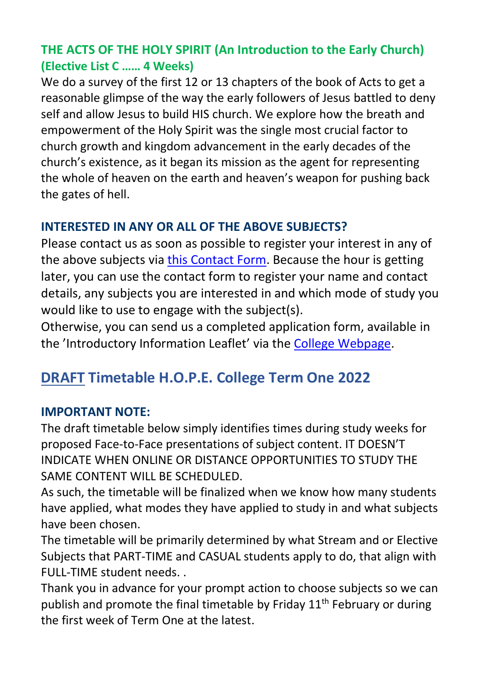# **THE ACTS OF THE HOLY SPIRIT (An Introduction to the Early Church) (Elective List C …… 4 Weeks)**

We do a survey of the first 12 or 13 chapters of the book of Acts to get a reasonable glimpse of the way the early followers of Jesus battled to deny self and allow Jesus to build HIS church. We explore how the breath and empowerment of the Holy Spirit was the single most crucial factor to church growth and kingdom advancement in the early decades of the church's existence, as it began its mission as the agent for representing the whole of heaven on the earth and heaven's weapon for pushing back the gates of hell.

#### **INTERESTED IN ANY OR ALL OF THE ABOVE SUBJECTS?**

Please contact us as soon as possible to register your interest in any of the above subjects via [this Contact Form.](https://www.corrimalcommunitychurch.com.au/contact/) Because the hour is getting later, you can use the contact form to register your name and contact details, any subjects you are interested in and which mode of study you would like to use to engage with the subject(s).

Otherwise, you can send us a completed application form, available in the 'Introductory Information Leaflet' via th[e College Webpage.](https://www.corrimalcommunitychurch.com.au/about-us/be-equipped/)

# **DRAFT Timetable H.O.P.E. College Term One 2022**

#### **IMPORTANT NOTE:**

The draft timetable below simply identifies times during study weeks for proposed Face-to-Face presentations of subject content. IT DOESN'T INDICATE WHEN ONLINE OR DISTANCE OPPORTUNITIES TO STUDY THE SAME CONTENT WILL BE SCHEDULED.

As such, the timetable will be finalized when we know how many students have applied, what modes they have applied to study in and what subjects have been chosen.

The timetable will be primarily determined by what Stream and or Elective Subjects that PART-TIME and CASUAL students apply to do, that align with FULL-TIME student needs. .

Thank you in advance for your prompt action to choose subjects so we can publish and promote the final timetable by Friday  $11<sup>th</sup>$  February or during the first week of Term One at the latest.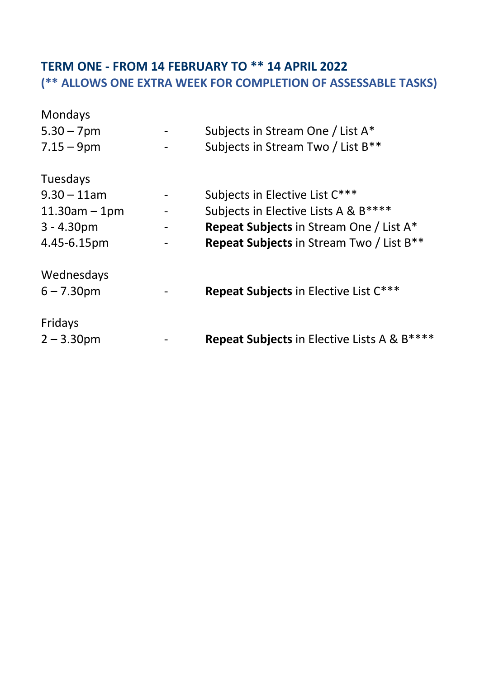# **TERM ONE - FROM 14 FEBRUARY TO \*\* 14 APRIL 2022 (\*\* ALLOWS ONE EXTRA WEEK FOR COMPLETION OF ASSESSABLE TASKS)**

| Mondays            |                                                             |
|--------------------|-------------------------------------------------------------|
| $5.30 - 7$ pm      | Subjects in Stream One / List A*                            |
| $7.15 - 9$ pm      | Subjects in Stream Two / List B <sup>**</sup>               |
| Tuesdays           |                                                             |
| $9.30 - 11$ am     | Subjects in Elective List C***                              |
| $11.30$ am $-1$ pm | Subjects in Elective Lists A & B****                        |
| $3 - 4.30pm$       | <b>Repeat Subjects in Stream One / List A*</b>              |
| 4.45-6.15pm        | <b>Repeat Subjects</b> in Stream Two / List B <sup>**</sup> |
| Wednesdays         |                                                             |
| $6 - 7.30$ pm      | Repeat Subjects in Elective List C***                       |
| Fridays            |                                                             |
| $2 - 3.30$ pm      | Repeat Subjects in Elective Lists A & B****                 |